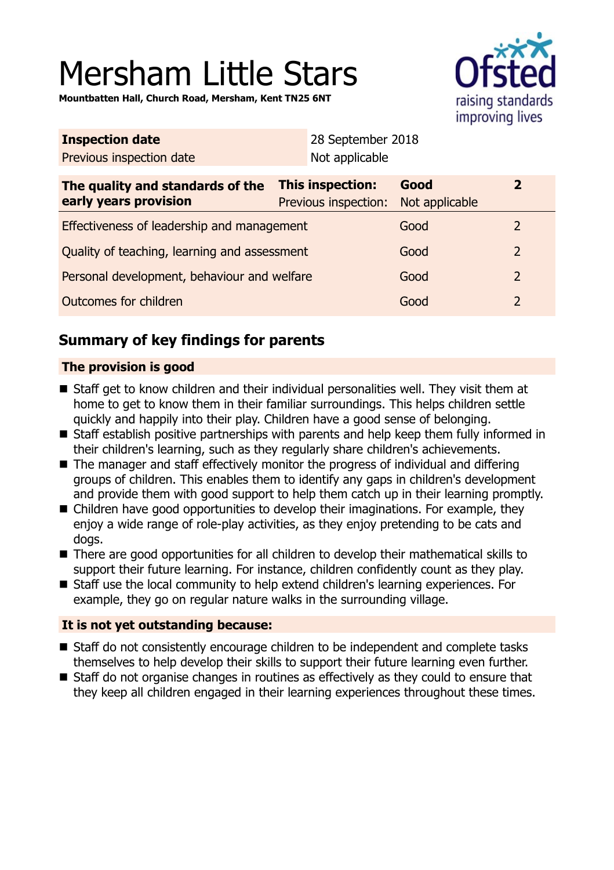# Mersham Little Stars

**Mountbatten Hall, Church Road, Mersham, Kent TN25 6NT**



| <b>Inspection date</b>                                    |                                                 | 28 September 2018 |                        |                |
|-----------------------------------------------------------|-------------------------------------------------|-------------------|------------------------|----------------|
| Previous inspection date                                  |                                                 | Not applicable    |                        |                |
| The quality and standards of the<br>early years provision | <b>This inspection:</b><br>Previous inspection: |                   | Good<br>Not applicable | $\overline{2}$ |
| Effectiveness of leadership and management                |                                                 |                   | Good                   | 2              |
| Quality of teaching, learning and assessment              |                                                 |                   | Good                   | $\overline{2}$ |
| Personal development, behaviour and welfare               |                                                 |                   | Good                   | $\overline{2}$ |
| Outcomes for children                                     |                                                 |                   | Good                   | $\overline{2}$ |

# **Summary of key findings for parents**

# **The provision is good**

- Staff get to know children and their individual personalities well. They visit them at home to get to know them in their familiar surroundings. This helps children settle quickly and happily into their play. Children have a good sense of belonging.
- Staff establish positive partnerships with parents and help keep them fully informed in their children's learning, such as they regularly share children's achievements.
- The manager and staff effectively monitor the progress of individual and differing groups of children. This enables them to identify any gaps in children's development and provide them with good support to help them catch up in their learning promptly.
- Children have good opportunities to develop their imaginations. For example, they enjoy a wide range of role-play activities, as they enjoy pretending to be cats and dogs.
- There are good opportunities for all children to develop their mathematical skills to support their future learning. For instance, children confidently count as they play.
- Staff use the local community to help extend children's learning experiences. For example, they go on regular nature walks in the surrounding village.

# **It is not yet outstanding because:**

- Staff do not consistently encourage children to be independent and complete tasks themselves to help develop their skills to support their future learning even further.
- Staff do not organise changes in routines as effectively as they could to ensure that they keep all children engaged in their learning experiences throughout these times.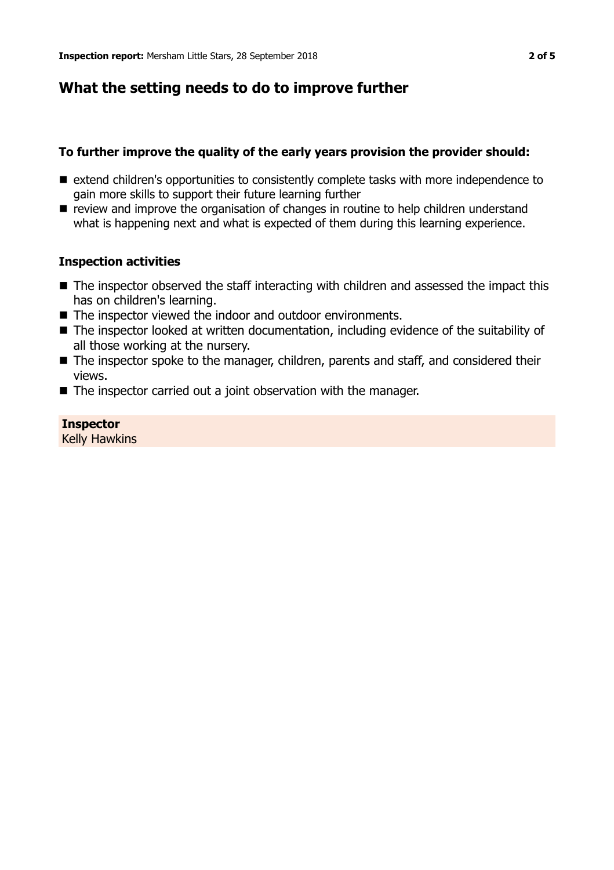# **What the setting needs to do to improve further**

#### **To further improve the quality of the early years provision the provider should:**

- extend children's opportunities to consistently complete tasks with more independence to gain more skills to support their future learning further
- review and improve the organisation of changes in routine to help children understand what is happening next and what is expected of them during this learning experience.

#### **Inspection activities**

- $\blacksquare$  The inspector observed the staff interacting with children and assessed the impact this has on children's learning.
- $\blacksquare$  The inspector viewed the indoor and outdoor environments.
- $\blacksquare$  The inspector looked at written documentation, including evidence of the suitability of all those working at the nursery.
- The inspector spoke to the manager, children, parents and staff, and considered their views.
- $\blacksquare$  The inspector carried out a joint observation with the manager.

#### **Inspector** Kelly Hawkins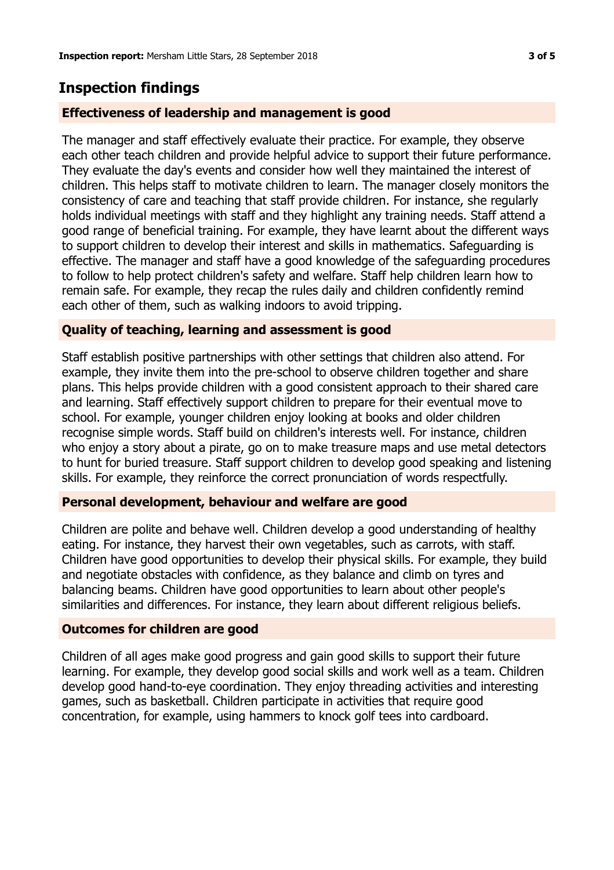# **Inspection findings**

## **Effectiveness of leadership and management is good**

The manager and staff effectively evaluate their practice. For example, they observe each other teach children and provide helpful advice to support their future performance. They evaluate the day's events and consider how well they maintained the interest of children. This helps staff to motivate children to learn. The manager closely monitors the consistency of care and teaching that staff provide children. For instance, she regularly holds individual meetings with staff and they highlight any training needs. Staff attend a good range of beneficial training. For example, they have learnt about the different ways to support children to develop their interest and skills in mathematics. Safeguarding is effective. The manager and staff have a good knowledge of the safeguarding procedures to follow to help protect children's safety and welfare. Staff help children learn how to remain safe. For example, they recap the rules daily and children confidently remind each other of them, such as walking indoors to avoid tripping.

## **Quality of teaching, learning and assessment is good**

Staff establish positive partnerships with other settings that children also attend. For example, they invite them into the pre-school to observe children together and share plans. This helps provide children with a good consistent approach to their shared care and learning. Staff effectively support children to prepare for their eventual move to school. For example, younger children enjoy looking at books and older children recognise simple words. Staff build on children's interests well. For instance, children who enjoy a story about a pirate, go on to make treasure maps and use metal detectors to hunt for buried treasure. Staff support children to develop good speaking and listening skills. For example, they reinforce the correct pronunciation of words respectfully.

## **Personal development, behaviour and welfare are good**

Children are polite and behave well. Children develop a good understanding of healthy eating. For instance, they harvest their own vegetables, such as carrots, with staff. Children have good opportunities to develop their physical skills. For example, they build and negotiate obstacles with confidence, as they balance and climb on tyres and balancing beams. Children have good opportunities to learn about other people's similarities and differences. For instance, they learn about different religious beliefs.

## **Outcomes for children are good**

Children of all ages make good progress and gain good skills to support their future learning. For example, they develop good social skills and work well as a team. Children develop good hand-to-eye coordination. They enjoy threading activities and interesting games, such as basketball. Children participate in activities that require good concentration, for example, using hammers to knock golf tees into cardboard.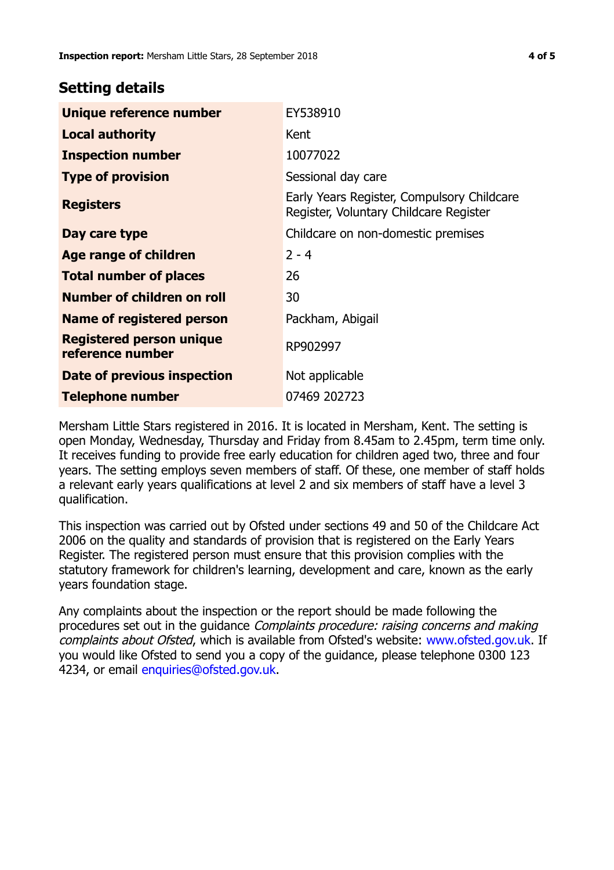# **Setting details**

| Unique reference number                             | EY538910                                                                             |  |
|-----------------------------------------------------|--------------------------------------------------------------------------------------|--|
| <b>Local authority</b>                              | Kent                                                                                 |  |
| <b>Inspection number</b>                            | 10077022                                                                             |  |
| <b>Type of provision</b>                            | Sessional day care                                                                   |  |
| <b>Registers</b>                                    | Early Years Register, Compulsory Childcare<br>Register, Voluntary Childcare Register |  |
| Day care type                                       | Childcare on non-domestic premises                                                   |  |
| Age range of children                               | $2 - 4$                                                                              |  |
| <b>Total number of places</b>                       | 26                                                                                   |  |
| Number of children on roll                          | 30                                                                                   |  |
| Name of registered person                           | Packham, Abigail                                                                     |  |
| <b>Registered person unique</b><br>reference number | RP902997                                                                             |  |
| Date of previous inspection                         | Not applicable                                                                       |  |
| Telephone number                                    | 07469 202723                                                                         |  |

Mersham Little Stars registered in 2016. It is located in Mersham, Kent. The setting is open Monday, Wednesday, Thursday and Friday from 8.45am to 2.45pm, term time only. It receives funding to provide free early education for children aged two, three and four years. The setting employs seven members of staff. Of these, one member of staff holds a relevant early years qualifications at level 2 and six members of staff have a level 3 qualification.

This inspection was carried out by Ofsted under sections 49 and 50 of the Childcare Act 2006 on the quality and standards of provision that is registered on the Early Years Register. The registered person must ensure that this provision complies with the statutory framework for children's learning, development and care, known as the early years foundation stage.

Any complaints about the inspection or the report should be made following the procedures set out in the guidance Complaints procedure: raising concerns and making complaints about Ofsted, which is available from Ofsted's website: www.ofsted.gov.uk. If you would like Ofsted to send you a copy of the guidance, please telephone 0300 123 4234, or email [enquiries@ofsted.gov.uk.](mailto:enquiries@ofsted.gov.uk)